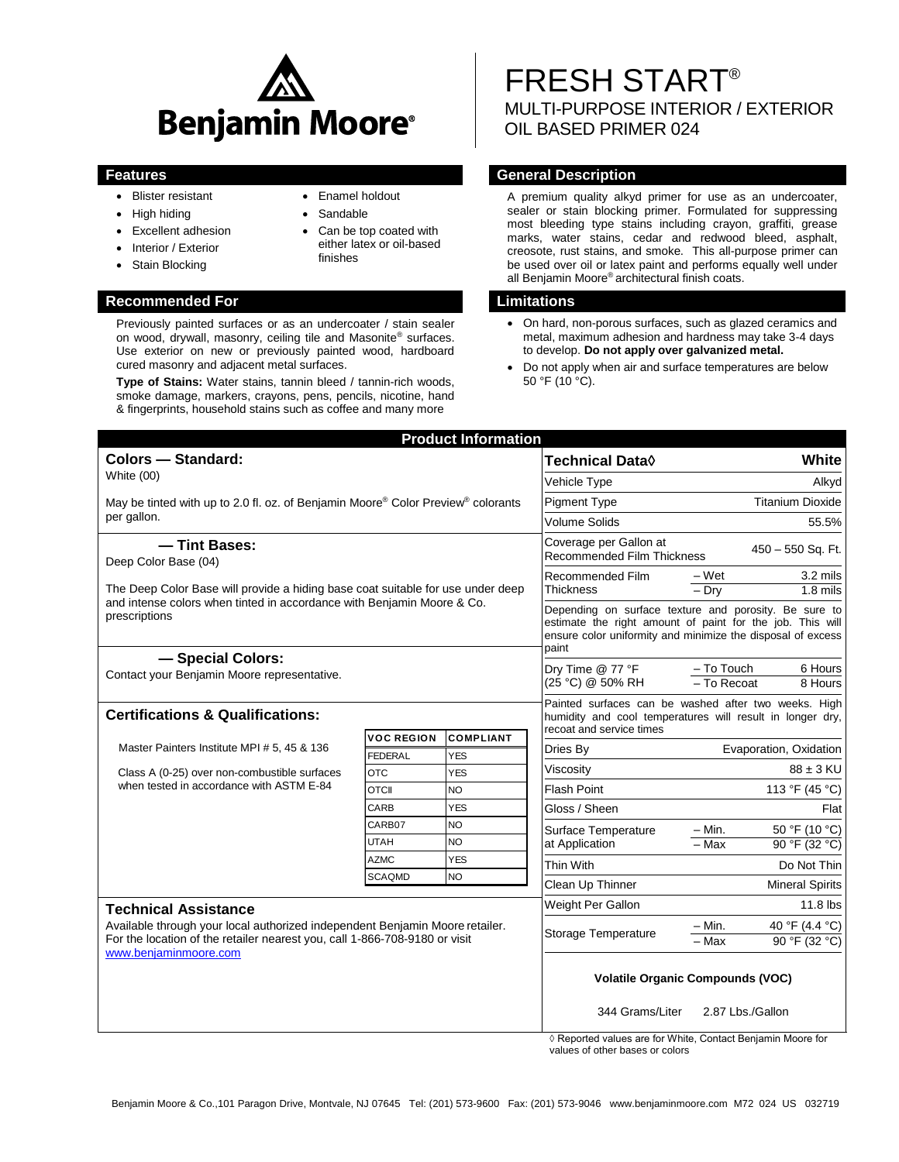

- Blister resistant
- High hiding
- Excellent adhesion
- Interior / Exterior
- Stain Blocking

#### **Recommended For Limitations**

Previously painted surfaces or as an undercoater / stain sealer on wood, drywall, masonry, ceiling tile and Masonite® surfaces. Use exterior on new or previously painted wood, hardboard cured masonry and adjacent metal surfaces.

**Type of Stains:** Water stains, tannin bleed / tannin-rich woods, smoke damage, markers, crayons, pens, pencils, nicotine, hand & fingerprints, household stains such as coffee and many more

### Enamel holdout

- Sandable
- Can be top coated with either latex or oil-based finishes

# FRESH START® MULTI-PURPOSE INTERIOR / EXTERIOR OIL BASED PRIMER 024

# **Features General Description**

A premium quality alkyd primer for use as an undercoater, sealer or stain blocking primer. Formulated for suppressing most bleeding type stains including crayon, graffiti, grease marks, water stains, cedar and redwood bleed, asphalt, creosote, rust stains, and smoke. This all-purpose primer can be used over oil or latex paint and performs equally well under all Benjamin Moore® architectural finish coats.

- On hard, non-porous surfaces, such as glazed ceramics and metal, maximum adhesion and hardness may take 3-4 days to develop. **Do not apply over galvanized metal.**
- Do not apply when air and surface temperatures are below  $50 °F (10 °C)$ .

| <b>Product Information</b>                                                                                                                                                                                         |                              |                          |                                                                                                                                                                                            |                                                             |
|--------------------------------------------------------------------------------------------------------------------------------------------------------------------------------------------------------------------|------------------------------|--------------------------|--------------------------------------------------------------------------------------------------------------------------------------------------------------------------------------------|-------------------------------------------------------------|
| <b>Colors - Standard:</b><br>White (00)                                                                                                                                                                            |                              |                          | Technical Data <b>◊</b>                                                                                                                                                                    | White                                                       |
|                                                                                                                                                                                                                    |                              |                          | Vehicle Type                                                                                                                                                                               | Alkyd                                                       |
| May be tinted with up to 2.0 fl. oz. of Benjamin Moore® Color Preview® colorants<br>per gallon.                                                                                                                    |                              |                          | <b>Pigment Type</b>                                                                                                                                                                        | <b>Titanium Dioxide</b>                                     |
|                                                                                                                                                                                                                    |                              |                          | <b>Volume Solids</b>                                                                                                                                                                       | 55.5%                                                       |
| -Tint Bases:<br>Deep Color Base (04)<br>The Deep Color Base will provide a hiding base coat suitable for use under deep<br>and intense colors when tinted in accordance with Benjamin Moore & Co.<br>prescriptions |                              |                          | Coverage per Gallon at<br><b>Recommended Film Thickness</b>                                                                                                                                | 450 - 550 Sq. Ft.                                           |
|                                                                                                                                                                                                                    |                              |                          | Recommended Film<br>Thickness                                                                                                                                                              | 3.2 mils<br>– Wet<br>$-$ Drv<br>$1.8$ mils                  |
|                                                                                                                                                                                                                    |                              |                          | Depending on surface texture and porosity. Be sure to<br>estimate the right amount of paint for the job. This will<br>ensure color uniformity and minimize the disposal of excess<br>paint |                                                             |
| - Special Colors:<br>Contact your Benjamin Moore representative.                                                                                                                                                   |                              |                          | Dry Time @ 77 °F<br>(25 °C) @ 50% RH                                                                                                                                                       | $-$ To Touch<br>6 Hours<br>- To Recoat<br>8 Hours           |
| <b>Certifications &amp; Qualifications:</b>                                                                                                                                                                        |                              |                          | Painted surfaces can be washed after two weeks. High<br>humidity and cool temperatures will result in longer dry,<br>recoat and service times                                              |                                                             |
| Master Painters Institute MPI # 5, 45 & 136<br>Class A (0-25) over non-combustible surfaces<br>when tested in accordance with ASTM E-84                                                                            | <b>VOC REGION</b>            | <b>COMPLIANT</b>         | Dries Bv                                                                                                                                                                                   | Evaporation, Oxidation                                      |
|                                                                                                                                                                                                                    | <b>FEDERAL</b><br><b>OTC</b> | <b>YES</b><br><b>YES</b> | Viscosity                                                                                                                                                                                  | $88 \pm 3$ KU                                               |
|                                                                                                                                                                                                                    | OTCII                        | <b>NO</b>                | <b>Flash Point</b>                                                                                                                                                                         | 113 °F (45 °C)                                              |
|                                                                                                                                                                                                                    | CARB                         | <b>YES</b>               | Gloss / Sheen                                                                                                                                                                              | Flat                                                        |
|                                                                                                                                                                                                                    | CARB07                       | <b>NO</b>                | Surface Temperature<br>at Application                                                                                                                                                      | 50 °F (10 °C)<br>$- Min.$                                   |
|                                                                                                                                                                                                                    | UTAH                         | NO.                      |                                                                                                                                                                                            | $-Max$<br>90 °F (32 °C)                                     |
|                                                                                                                                                                                                                    | <b>AZMC</b>                  | <b>YES</b>               | Thin With                                                                                                                                                                                  | Do Not Thin                                                 |
|                                                                                                                                                                                                                    | <b>SCAQMD</b>                | NO                       | Clean Up Thinner                                                                                                                                                                           | <b>Mineral Spirits</b>                                      |
| <b>Technical Assistance</b><br>Available through your local authorized independent Benjamin Moore retailer.<br>For the location of the retailer nearest you, call 1-866-708-9180 or visit<br>www.benjaminmoore.com |                              |                          | Weight Per Gallon                                                                                                                                                                          | 11.8 lbs                                                    |
|                                                                                                                                                                                                                    |                              |                          | Storage Temperature                                                                                                                                                                        | 40 °F (4.4 °C)<br>– Min.<br>$-Max$<br>90 °F (32 °C)         |
|                                                                                                                                                                                                                    |                              |                          | <b>Volatile Organic Compounds (VOC)</b>                                                                                                                                                    |                                                             |
|                                                                                                                                                                                                                    |                              |                          | 344 Grams/Liter                                                                                                                                                                            | 2.87 Lbs./Gallon                                            |
|                                                                                                                                                                                                                    |                              |                          |                                                                                                                                                                                            | ◊ Reported values are for White, Contact Benjamin Moore for |

values of other bases or colors